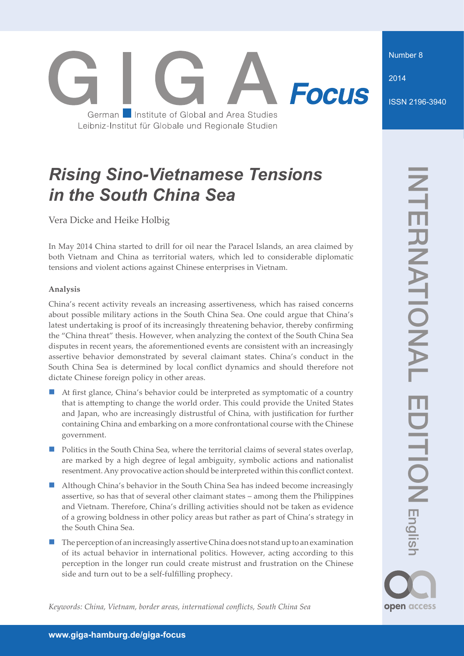Number 8

2014

ISSN 2196-3940

# **Focus** German Institute of Global and Area Studies Leibniz-Institut für Globale und Regionale Studien

# *Rising Sino-Vietnamese Tensions in the South China Sea*

Vera Dicke and Heike Holbig

In May 2014 China started to drill for oil near the Paracel Islands, an area claimed by both Vietnam and China as territorial waters, which led to considerable diplomatic tensions and violent actions against Chinese enterprises in Vietnam.

## **Analysis**

China's recent activity reveals an increasing assertiveness, which has raised concerns about possible military actions in the South China Sea. One could argue that China's latest undertaking is proof of its increasingly threatening behavior, thereby confirming the "China threat" thesis. However, when analyzing the context of the South China Sea disputes in recent years, the aforementioned events are consistent with an increasingly assertive behavior demonstrated by several claimant states. China's conduct in the South China Sea is determined by local conflict dynamics and should therefore not dictate Chinese foreign policy in other areas.

- At first glance, China's behavior could be interpreted as symptomatic of a country that is attempting to change the world order. This could provide the United States and Japan, who are increasingly distrustful of China, with justification for further containing China and embarking on a more confrontational course with the Chinese government.
- **Politics in the South China Sea, where the territorial claims of several states overlap,** are marked by a high degree of legal ambiguity, symbolic actions and nationalist resentment. Any provocative action should be interpreted within this conflict context.
- **Although China's behavior in the South China Sea has indeed become increasingly** assertive, so has that of several other claimant states – among them the Philippines and Vietnam. Therefore, China's drilling activities should not be taken as evidence of a growing boldness in other policy areas but rather as part of China's strategy in the South China Sea.
- The perception of an increasingly assertive China does not stand up to an examination of its actual behavior in international politics. However, acting according to this perception in the longer run could create mistrust and frustration on the Chinese side and turn out to be a self-fulfilling prophecy.

open access

*Keywords: China, Vietnam, border areas, international conflicts, South China Sea*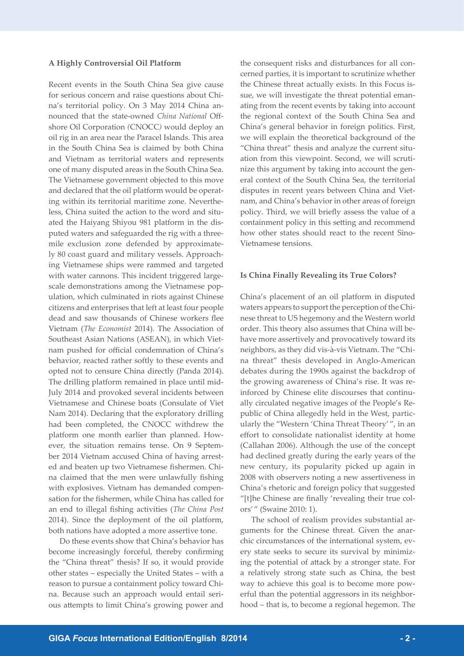## **A Highly Controversial Oil Platform**

Recent events in the South China Sea give cause for serious concern and raise questions about China's territorial policy. On 3 May 2014 China announced that the state-owned *China National* Offshore Oil Corporation *(*CNOCC*)* would deploy an oil rig in an area near the Paracel Islands. This area in the South China Sea is claimed by both China and Vietnam as territorial waters and represents one of many disputed areas in the South China Sea. The Vietnamese government objected to this move and declared that the oil platform would be operating within its territorial maritime zone. Nevertheless, China suited the action to the word and situated the Haiyang Shiyou 981 platform in the disputed waters and safeguarded the rig with a threemile exclusion zone defended by approximately 80 coast guard and military vessels. Approaching Vietnamese ships were rammed and targeted with water cannons. This incident triggered largescale demonstrations among the Vietnamese population, which culminated in riots against Chinese citizens and enterprises that left at least four people dead and saw thousands of Chinese workers flee Vietnam (*The Economist* 2014). The Association of Southeast Asian Nations (ASEAN), in which Vietnam pushed for official condemnation of China's behavior, reacted rather softly to these events and opted not to censure China directly (Panda 2014). The drilling platform remained in place until mid-July 2014 and provoked several incidents between Vietnamese and Chinese boats (Consulate of Viet Nam 2014). Declaring that the exploratory drilling had been completed, the CNOCC withdrew the platform one month earlier than planned. However, the situation remains tense. On 9 September 2014 Vietnam accused China of having arrested and beaten up two Vietnamese fishermen. China claimed that the men were unlawfully fishing with explosives. Vietnam has demanded compensation for the fishermen, while China has called for an end to illegal fishing activities (*The China Post* 2014). Since the deployment of the oil platform, both nations have adopted a more assertive tone.

Do these events show that China's behavior has become increasingly forceful, thereby confirming the "China threat" thesis? If so, it would provide other states – especially the United States – with a reason to pursue a containment policy toward China. Because such an approach would entail serious attempts to limit China's growing power and the consequent risks and disturbances for all concerned parties, it is important to scrutinize whether the Chinese threat actually exists. In this Focus issue, we will investigate the threat potential emanating from the recent events by taking into account the regional context of the South China Sea and China's general behavior in foreign politics. First, we will explain the theoretical background of the "China threat" thesis and analyze the current situation from this viewpoint. Second, we will scrutinize this argument by taking into account the general context of the South China Sea, the territorial disputes in recent years between China and Vietnam, and China's behavior in other areas of foreign policy. Third, we will briefly assess the value of a containment policy in this setting and recommend how other states should react to the recent Sino-Vietnamese tensions.

#### **Is China Finally Revealing its True Colors?**

China's placement of an oil platform in disputed waters appears to support the perception of the Chinese threat to US hegemony and the Western world order. This theory also assumes that China will behave more assertively and provocatively toward its neighbors, as they did vis-à-vis Vietnam. The "China threat" thesis developed in Anglo-American debates during the 1990s against the backdrop of the growing awareness of China's rise. It was reinforced by Chinese elite discourses that continually circulated negative images of the People's Republic of China allegedly held in the West, particularly the "Western 'China Threat Theory' ", in an effort to consolidate nationalist identity at home (Callahan 2006). Although the use of the concept had declined greatly during the early years of the new century, its popularity picked up again in 2008 with observers noting a new assertiveness in China's rhetoric and foreign policy that suggested "[t]he Chinese are finally 'revealing their true colors' " (Swaine 2010: 1).

The school of realism provides substantial arguments for the Chinese threat. Given the anarchic circumstances of the international system, every state seeks to secure its survival by minimizing the potential of attack by a stronger state. For a relatively strong state such as China, the best way to achieve this goal is to become more powerful than the potential aggressors in its neighborhood – that is, to become a regional hegemon. The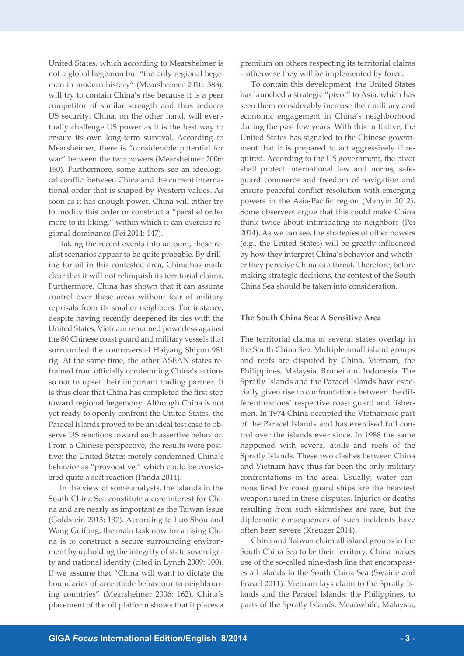United States, which according to Mearsheimer is not a global hegemon but "the only regional hegemon in modern history" (Mearsheimer 2010: 388), will try to contain China's rise because it is a peer competitor of similar strength and thus reduces US security. China, on the other hand, will eventually challenge US power as it is the best way to ensure its own long-term survival. According to Mearsheimer, there is "considerable potential for war" between the two powers (Mearsheimer 2006: 160). Furthermore, some authors see an ideological conflict between China and the current international order that is shaped by Western values. As soon as it has enough power, China will either try to modify this order or construct a "parallel order more to its liking," within which it can exercise regional dominance (Pei 2014: 147).

Taking the recent events into account, these realist scenarios appear to be quite probable. By drilling for oil in this contested area, China has made clear that it will not relinquish its territorial claims. Furthermore, China has shown that it can assume control over these areas without fear of military reprisals from its smaller neighbors. For instance, despite having recently deepened its ties with the United States, Vietnam remained powerless against the 80 Chinese coast guard and military vessels that surrounded the controversial Haiyang Shiyou 981 rig. At the same time, the other ASEAN states refrained from officially condemning China's actions so not to upset their important trading partner. It is thus clear that China has completed the first step toward regional hegemony. Although China is not yet ready to openly confront the United States, the Paracel Islands proved to be an ideal test case to observe US reactions toward such assertive behavior. From a Chinese perspective, the results were positive: the United States merely condemned China's behavior as "provocative," which could be considered quite a soft reaction (Panda 2014).

In the view of some analysts, the islands in the South China Sea constitute a core interest for China and are nearly as important as the Taiwan issue (Goldstein 2013: 137). According to Luo Shou and Wang Guifang, the main task now for a rising China is to construct a secure surrounding environment by upholding the integrity of state sovereignty and national identity (cited in Lynch 2009: 100). If we assume that "China will want to dictate the boundaries of acceptable behaviour to neighbouring countries" (Mearsheimer 2006: 162), China's placement of the oil platform shows that it places a premium on others respecting its territorial claims – otherwise they will be implemented by force.

To contain this development, the United States has launched a strategic "pivot" to Asia, which has seen them considerably increase their military and economic engagement in China's neighborhood during the past few years. With this initiative, the United States has signaled to the Chinese government that it is prepared to act aggressively if required. According to the US government, the pivot shall protect international law and norms, safeguard commerce and freedom of navigation and ensure peaceful conflict resolution with emerging powers in the Asia-Pacific region (Manyin 2012). Some observers argue that this could make China think twice about intimidating its neighbors (Pei 2014). As we can see, the strategies of other powers (e.g., the United States) will be greatly influenced by how they interpret China's behavior and whether they perceive China as a threat. Therefore, before making strategic decisions, the context of the South China Sea should be taken into consideration.

### **The South China Sea: A Sensitive Area**

The territorial claims of several states overlap in the South China Sea. Multiple small island groups and reefs are disputed by China, Vietnam, the Philippines, Malaysia, Brunei and Indonesia. The Spratly Islands and the Paracel Islands have especially given rise to confrontations between the different nations' respective coast guard and fishermen. In 1974 China occupied the Vietnamese part of the Paracel Islands and has exercised full control over the islands ever since. In 1988 the same happened with several atolls and reefs of the Spratly Islands. These two clashes between China and Vietnam have thus far been the only military confrontations in the area. Usually, water cannons fired by coast guard ships are the heaviest weapons used in these disputes. Injuries or deaths resulting from such skirmishes are rare, but the diplomatic consequences of such incidents have often been severe (Kreuzer 2014).

China and Taiwan claim all island groups in the South China Sea to be their territory. China makes use of the so-called nine-dash line that encompasses all islands in the South China Sea (Swaine and Fravel 2011). Vietnam lays claim to the Spratly Islands and the Paracel Islands; the Philippines, to parts of the Spratly Islands. Meanwhile, Malaysia,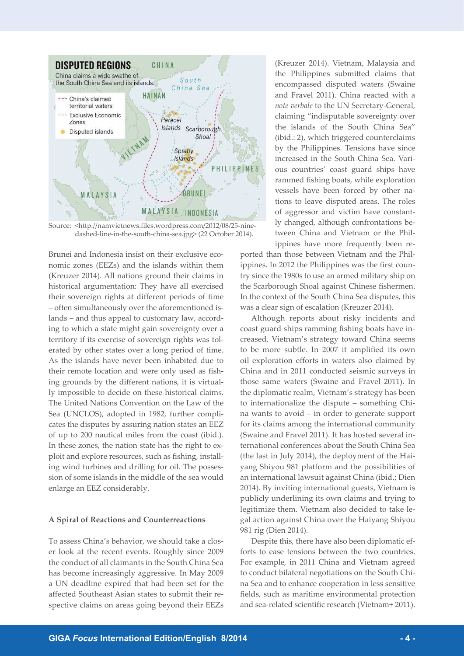

Source: <http://namvietnews.files.wordpress.com/2012/08/25-ninedashed-line-in-the-south-china-sea.jpg> (22 October 2014).

Brunei and Indonesia insist on their exclusive economic zones (EEZs) and the islands within them (Kreuzer 2014). All nations ground their claims in historical argumentation: They have all exercised their sovereign rights at different periods of time – often simultaneously over the aforementioned islands – and thus appeal to customary law, according to which a state might gain sovereignty over a territory if its exercise of sovereign rights was tolerated by other states over a long period of time. As the islands have never been inhabited due to their remote location and were only used as fishing grounds by the different nations, it is virtually impossible to decide on these historical claims. The United Nations Convention on the Law of the Sea (UNCLOS), adopted in 1982, further complicates the disputes by assuring nation states an EEZ of up to 200 nautical miles from the coast (ibid.). In these zones, the nation state has the right to exploit and explore resources, such as fishing, installing wind turbines and drilling for oil. The possession of some islands in the middle of the sea would enlarge an EEZ considerably.

#### **A Spiral of Reactions and Counterreactions**

To assess China's behavior, we should take a closer look at the recent events. Roughly since 2009 the conduct of all claimants in the South China Sea has become increasingly aggressive. In May 2009 a UN deadline expired that had been set for the affected Southeast Asian states to submit their respective claims on areas going beyond their EEZs (Kreuzer 2014). Vietnam, Malaysia and the Philippines submitted claims that encompassed disputed waters (Swaine and Fravel 2011). China reacted with a *note verbale* to the UN Secretary-General*,*  claiming "indisputable sovereignty over the islands of the South China Sea" (ibid.: 2), which triggered counterclaims by the Philippines. Tensions have since increased in the South China Sea. Various countries' coast guard ships have rammed fishing boats, while exploration vessels have been forced by other nations to leave disputed areas. The roles of aggressor and victim have constantly changed, although confrontations between China and Vietnam or the Philippines have more frequently been re-

ported than those between Vietnam and the Philippines. In 2012 the Philippines was the first country since the 1980s to use an armed military ship on the Scarborough Shoal against Chinese fishermen. In the context of the South China Sea disputes, this was a clear sign of escalation (Kreuzer 2014).

Although reports about risky incidents and coast guard ships ramming fishing boats have increased, Vietnam's strategy toward China seems to be more subtle. In 2007 it amplified its own oil exploration efforts in waters also claimed by China and in 2011 conducted seismic surveys in those same waters (Swaine and Fravel 2011). In the diplomatic realm, Vietnam's strategy has been to internationalize the dispute – something China wants to avoid – in order to generate support for its claims among the international community (Swaine and Fravel 2011). It has hosted several in-1ternational conferences about the South China Sea (the last in July 2014), the deployment of the Haiyang Shiyou 981 platform and the possibilities of an international lawsuit against China (ibid.; Dien 2014). By inviting international guests, Vietnam is publicly underlining its own claims and trying to legitimize them. Vietnam also decided to take legal action against China over the Haiyang Shiyou 981 rig (Dien 2014).

Despite this, there have also been diplomatic efforts to ease tensions between the two countries. For example, in 2011 China and Vietnam agreed to conduct bilateral negotiations on the South China Sea and to enhance cooperation in less sensitive fields, such as maritime environmental protection and sea-related scientific research (Vietnam+ 2011).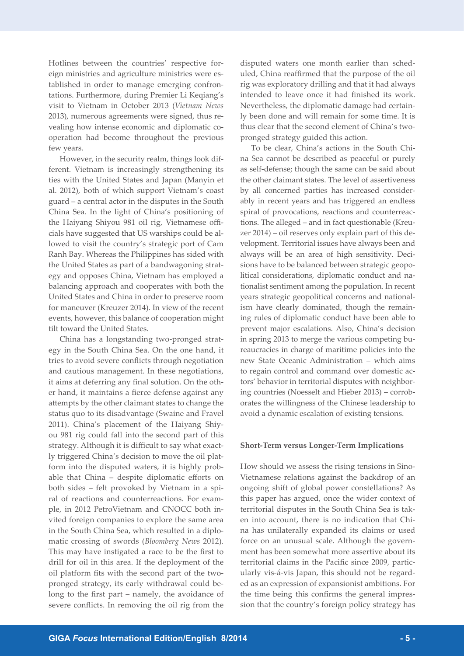Hotlines between the countries' respective foreign ministries and agriculture ministries were established in order to manage emerging confrontations. Furthermore, during Premier Li Keqiang's visit to Vietnam in October 2013 (*Vietnam News*  2013), numerous agreements were signed, thus revealing how intense economic and diplomatic cooperation had become throughout the previous few years.

However, in the security realm, things look different. Vietnam is increasingly strengthening its ties with the United States and Japan (Manyin et al. 2012), both of which support Vietnam's coast guard – a central actor in the disputes in the South China Sea. In the light of China's positioning of the Haiyang Shiyou 981 oil rig, Vietnamese officials have suggested that US warships could be allowed to visit the country's strategic port of Cam Ranh Bay. Whereas the Philippines has sided with the United States as part of a bandwagoning strategy and opposes China, Vietnam has employed a balancing approach and cooperates with both the United States and China in order to preserve room for maneuver (Kreuzer 2014). In view of the recent events, however, this balance of cooperation might tilt toward the United States.

China has a longstanding two-pronged strategy in the South China Sea. On the one hand, it tries to avoid severe conflicts through negotiation and cautious management. In these negotiations, it aims at deferring any final solution. On the other hand, it maintains a fierce defense against any attempts by the other claimant states to change the status quo to its disadvantage (Swaine and Fravel 2011). China's placement of the Haiyang Shiyou 981 rig could fall into the second part of this strategy. Although it is difficult to say what exactly triggered China's decision to move the oil platform into the disputed waters, it is highly probable that China – despite diplomatic efforts on both sides – felt provoked by Vietnam in a spiral of reactions and counterreactions. For example, in 2012 PetroVietnam and CNOCC both invited foreign companies to explore the same area in the South China Sea, which resulted in a diplomatic crossing of swords (*Bloomberg News* 2012). This may have instigated a race to be the first to drill for oil in this area. If the deployment of the oil platform fits with the second part of the twopronged strategy, its early withdrawal could belong to the first part – namely, the avoidance of severe conflicts. In removing the oil rig from the disputed waters one month earlier than scheduled, China reaffirmed that the purpose of the oil rig was exploratory drilling and that it had always intended to leave once it had finished its work. Nevertheless, the diplomatic damage had certainly been done and will remain for some time. It is thus clear that the second element of China's twopronged strategy guided this action.

To be clear, China's actions in the South China Sea cannot be described as peaceful or purely as self-defense; though the same can be said about the other claimant states. The level of assertiveness by all concerned parties has increased considerably in recent years and has triggered an endless spiral of provocations, reactions and counterreactions. The alleged – and in fact questionable (Kreuzer 2014) – oil reserves only explain part of this development. Territorial issues have always been and always will be an area of high sensitivity. Decisions have to be balanced between strategic geopolitical considerations, diplomatic conduct and nationalist sentiment among the population. In recent years strategic geopolitical concerns and nationalism have clearly dominated, though the remaining rules of diplomatic conduct have been able to prevent major escalations. Also, China's decision in spring 2013 to merge the various competing bureaucracies in charge of maritime policies into the new State Oceanic Administration – which aims to regain control and command over domestic actors' behavior in territorial disputes with neighboring countries (Noesselt and Hieber 2013) – corroborates the willingness of the Chinese leadership to avoid a dynamic escalation of existing tensions.

#### **Short-Term versus Longer-Term Implications**

How should we assess the rising tensions in Sino-Vietnamese relations against the backdrop of an ongoing shift of global power constellations? As this paper has argued, once the wider context of territorial disputes in the South China Sea is taken into account, there is no indication that China has unilaterally expanded its claims or used force on an unusual scale. Although the government has been somewhat more assertive about its territorial claims in the Pacific since 2009, particularly vis-á-vis Japan, this should not be regarded as an expression of expansionist ambitions. For the time being this confirms the general impression that the country's foreign policy strategy has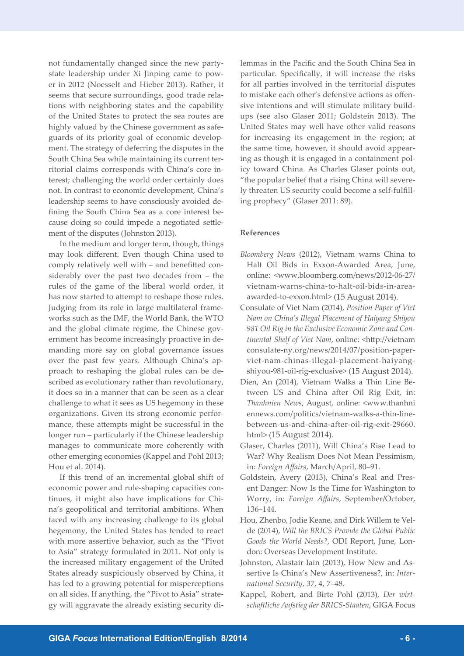not fundamentally changed since the new partystate leadership under Xi Jinping came to power in 2012 (Noesselt and Hieber 2013). Rather, it seems that secure surroundings, good trade relations with neighboring states and the capability of the United States to protect the sea routes are highly valued by the Chinese government as safeguards of its priority goal of economic development. The strategy of deferring the disputes in the South China Sea while maintaining its current territorial claims corresponds with China's core interest; challenging the world order certainly does not. In contrast to economic development, China's leadership seems to have consciously avoided defining the South China Sea as a core interest because doing so could impede a negotiated settlement of the disputes (Johnston 2013).

In the medium and longer term, though, things may look different. Even though China used to comply relatively well with – and benefitted considerably over the past two decades from – the rules of the game of the liberal world order, it has now started to attempt to reshape those rules. Judging from its role in large multilateral frameworks such as the IMF, the World Bank, the WTO and the global climate regime, the Chinese government has become increasingly proactive in demanding more say on global governance issues over the past few years. Although China's approach to reshaping the global rules can be described as evolutionary rather than revolutionary, it does so in a manner that can be seen as a clear challenge to what it sees as US hegemony in these organizations. Given its strong economic performance, these attempts might be successful in the longer run – particularly if the Chinese leadership manages to communicate more coherently with other emerging economies (Kappel and Pohl 2013; Hou et al. 2014).

If this trend of an incremental global shift of economic power and rule-shaping capacities continues, it might also have implications for China's geopolitical and territorial ambitions. When faced with any increasing challenge to its global hegemony, the United States has tended to react with more assertive behavior, such as the "Pivot to Asia" strategy formulated in 2011. Not only is the increased military engagement of the United States already suspiciously observed by China, it has led to a growing potential for misperceptions on all sides. If anything, the "Pivot to Asia" strategy will aggravate the already existing security dilemmas in the Pacific and the South China Sea in particular. Specifically, it will increase the risks for all parties involved in the territorial disputes to mistake each other's defensive actions as offensive intentions and will stimulate military buildups (see also Glaser 2011; Goldstein 2013). The United States may well have other valid reasons for increasing its engagement in the region; at the same time, however, it should avoid appearing as though it is engaged in a containment policy toward China. As Charles Glaser points out, "the popular belief that a rising China will severely threaten US security could become a self-fulfilling prophecy" (Glaser 2011: 89).

### **References**

- *Bloomberg News* (2012), Vietnam warns China to Halt Oil Bids in Exxon-Awarded Area, June, online: <www.bloomberg.com/news/2012-06-27/ vietnam-warns-china-to-halt-oil-bids-in-areaawarded-to-exxon.html> (15 August 2014).
- Consulate of Viet Nam (2014), *Position Paper of Viet Nam on China's Illegal Placement of Haiyang Shiyou 981 Oil Rig in the Exclusive Economic Zone and Continental Shelf of Viet Nam*, online: <http://vietnam consulate-ny.org/news/2014/07/position-paperviet-nam-chinas-illegal-placement-haiyangshiyou-981-oil-rig-exclusive> (15 August 2014).
- Dien, An (2014), Vietnam Walks a Thin Line Between US and China after Oil Rig Exit, in: *Thanhnien News*, August, online: <www.thanhni ennews.com/politics/vietnam-walks-a-thin-linebetween-us-and-china-after-oil-rig-exit-29660. html> (15 August 2014).
- Glaser, Charles (2011), Will China's Rise Lead to War? Why Realism Does Not Mean Pessimism, in: *Foreign Affairs*, March/April, 80–91.
- Goldstein, Avery (2013), China's Real and Present Danger: Now Is the Time for Washington to Worry, in: *Foreign Affairs*, September/October, 136–144.
- Hou, Zhenbo, Jodie Keane, and Dirk Willem te Velde (2014), *Will the BRICS Provide the Global Public Goods the World Needs?*, ODI Report, June, London: Overseas Development Institute.
- Johnston, Alastair Iain (2013), How New and Assertive Is China's New Assertiveness?, in: *International Security*, 37, 4, 7–48.
- Kappel, Robert, and Birte Pohl (2013), *Der wirtschaftliche Aufstieg der BRICS-Staaten*, GIGA Focus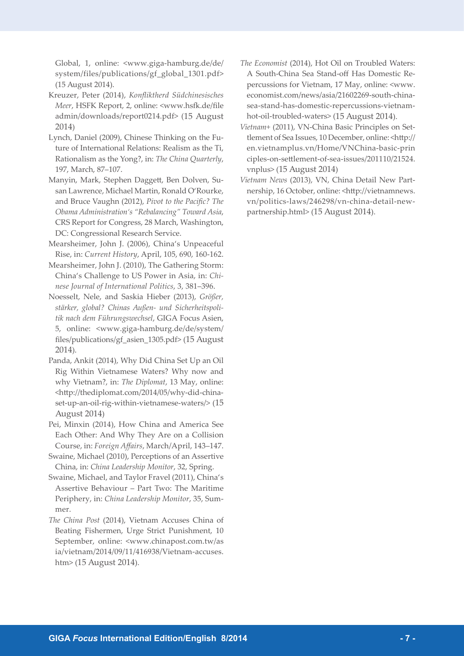Global, 1, online: <www.giga-hamburg.de/de/ system/files/publications/gf\_global\_1301.pdf> (15 August 2014).

- Kreuzer, Peter (2014), *Konfliktherd Südchinesisches Meer*, HSFK Report, 2, online: <www.hsfk.de/file admin/downloads/report0214.pdf> (15 August 2014)
- Lynch, Daniel (2009), Chinese Thinking on the Future of International Relations: Realism as the Ti, Rationalism as the Yong?, in: *The China Quarterly*, 197, March, 87–107.
- Manyin, Mark, Stephen Daggett, Ben Dolven, Susan Lawrence, Michael Martin, Ronald O'Rourke, and Bruce Vaughn (2012), *Pivot to the Pacific? The Obama Administration's "Rebalancing" Toward Asia*, CRS Report for Congress, 28 March, Washington, DC: Congressional Research Service.
- Mearsheimer, John J. (2006), China's Unpeaceful Rise, in: *Current History*, April, 105, 690, 160-162.
- Mearsheimer, John J. (2010), The Gathering Storm: China's Challenge to US Power in Asia, in: *Chinese Journal of International Politics*, 3, 381–396.
- Noesselt, Nele, and Saskia Hieber (2013), *Größer, stärker, global? Chinas Außen- und Sicherheitspolitik nach dem Führungswechsel*, GIGA Focus Asien, 5, online: <www.giga-hamburg.de/de/system/ files/publications/gf\_asien\_1305.pdf> (15 August 2014).
- Panda, Ankit (2014), Why Did China Set Up an Oil Rig Within Vietnamese Waters? Why now and why Vietnam?, in: *The Diplomat*, 13 May, online: <http://thediplomat.com/2014/05/why-did-chinaset-up-an-oil-rig-within-vietnamese-waters/> (15 August 2014)
- Pei, Minxin (2014), How China and America See Each Other: And Why They Are on a Collision Course, in: *Foreign Affairs*, March/April, 143–147.
- Swaine, Michael (2010), Perceptions of an Assertive China, in: *China Leadership Monitor*, 32, Spring.
- Swaine, Michael, and Taylor Fravel (2011), China's Assertive Behaviour – Part Two: The Maritime Periphery, in: *China Leadership Monitor*, 35, Summer.
- *The China Post* (2014), Vietnam Accuses China of Beating Fishermen, Urge Strict Punishment, 10 September, online: <www.chinapost.com.tw/as ia/vietnam/2014/09/11/416938/Vietnam-accuses. htm> (15 August 2014).
- *The Economist* (2014), Hot Oil on Troubled Waters: A South-China Sea Stand-off Has Domestic Repercussions for Vietnam, 17 May, online: <www. economist.com/news/asia/21602269-south-chinasea-stand-has-domestic-repercussions-vietnamhot-oil-troubled-waters> (15 August 2014).
- *Vietnam+* (2011), VN-China Basic Principles on Settlement of Sea Issues, 10 December, online: <http:// en.vietnamplus.vn/Home/VNChina-basic-prin ciples-on-settlement-of-sea-issues/201110/21524. vnplus> (15 August 2014)
- *Vietnam News* (2013), VN, China Detail New Partnership, 16 October, online: <http://vietnamnews. vn/politics-laws/246298/vn-china-detail-newpartnership.html> (15 August 2014).